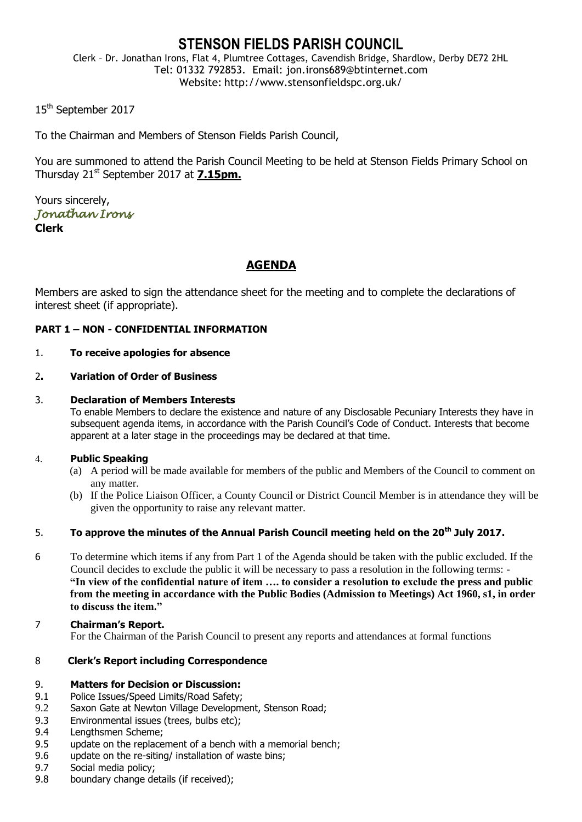## **STENSON FIELDS PARISH COUNCIL**

Clerk – Dr. Jonathan Irons, Flat 4, Plumtree Cottages, Cavendish Bridge, Shardlow, Derby DE72 2HL Tel: 01332 792853. Email: jon.irons689@btinternet.com Website: http://www.stensonfieldspc.org.uk/

15<sup>th</sup> September 2017

To the Chairman and Members of Stenson Fields Parish Council,

You are summoned to attend the Parish Council Meeting to be held at Stenson Fields Primary School on Thursday 21st September 2017 at **7.15pm.**

Yours sincerely, *Jonathan Irons*  **Clerk**

### **AGENDA**

Members are asked to sign the attendance sheet for the meeting and to complete the declarations of interest sheet (if appropriate).

#### **PART 1 – NON - CONFIDENTIAL INFORMATION**

#### 1. **To receive apologies for absence**

#### 2**. Variation of Order of Business**

#### 3. **Declaration of Members Interests**

To enable Members to declare the existence and nature of any Disclosable Pecuniary Interests they have in subsequent agenda items, in accordance with the Parish Council's Code of Conduct. Interests that become apparent at a later stage in the proceedings may be declared at that time.

#### 4. **Public Speaking**

- (a) A period will be made available for members of the public and Members of the Council to comment on any matter.
- (b) If the Police Liaison Officer, a County Council or District Council Member is in attendance they will be given the opportunity to raise any relevant matter.

#### 5. **To approve the minutes of the Annual Parish Council meeting held on the 20th July 2017.**

- 6 To determine which items if any from Part 1 of the Agenda should be taken with the public excluded. If the Council decides to exclude the public it will be necessary to pass a resolution in the following terms: - **"In view of the confidential nature of item …. to consider a resolution to exclude the press and public from the meeting in accordance with the Public Bodies (Admission to Meetings) Act 1960, s1, in order to discuss the item."**
- 7 **Chairman's Report.** For the Chairman of the Parish Council to present any reports and attendances at formal functions

#### 8 **Clerk's Report including Correspondence**

#### 9. **Matters for Decision or Discussion:**

- 9.1 Police Issues/Speed Limits/Road Safety;
- 9.2 Saxon Gate at Newton Village Development, Stenson Road;
- 9.3 Environmental issues (trees, bulbs etc);
- 9.4 Lengthsmen Scheme;
- 9.5 update on the replacement of a bench with a memorial bench;
- 9.6 update on the re-siting/ installation of waste bins;
- 9.7 Social media policy;
- 9.8 boundary change details (if received);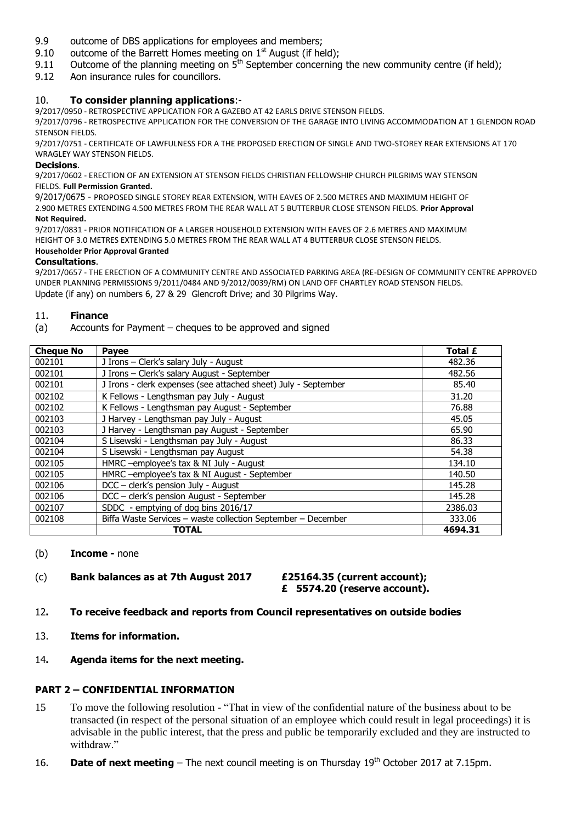- 9.9 outcome of DBS applications for employees and members;
- 9.10 outcome of the Barrett Homes meeting on  $1<sup>st</sup>$  August (if held);
- 9.11 Outcome of the planning meeting on  $\bar{5}^{th}$  September concerning the new community centre (if held);
- 9.12 Aon insurance rules for councillors.

#### 10. **To consider planning applications**:-

9/2017/0950 - RETROSPECTIVE APPLICATION FOR A GAZEBO AT 42 EARLS DRIVE STENSON FIELDS.

9/2017/0796 - RETROSPECTIVE APPLICATION FOR THE CONVERSION OF THE GARAGE INTO LIVING ACCOMMODATION AT 1 GLENDON ROAD STENSON FIELDS.

9/2017/0751 - CERTIFICATE OF LAWFULNESS FOR A THE PROPOSED ERECTION OF SINGLE AND TWO-STOREY REAR EXTENSIONS AT 170 WRAGLEY WAY STENSON FIELDS.

#### **Decisions**.

9/2017/0602 - ERECTION OF AN EXTENSION AT STENSON FIELDS CHRISTIAN FELLOWSHIP CHURCH PILGRIMS WAY STENSON FIELDS. **Full Permission Granted.**

9/2017/0675 - PROPOSED SINGLE STOREY REAR EXTENSION, WITH EAVES OF 2.500 METRES AND MAXIMUM HEIGHT OF 2.900 METRES EXTENDING 4.500 METRES FROM THE REAR WALL AT 5 BUTTERBUR CLOSE STENSON FIELDS. **Prior Approval Not Required.** 

9/2017/0831 - PRIOR NOTIFICATION OF A LARGER HOUSEHOLD EXTENSION WITH EAVES OF 2.6 METRES AND MAXIMUM HEIGHT OF 3.0 METRES EXTENDING 5.0 METRES FROM THE REAR WALL AT 4 BUTTERBUR CLOSE STENSON FIELDS.

#### **Householder Prior Approval Granted**

#### **Consultations**.

9/2017/0657 - THE ERECTION OF A COMMUNITY CENTRE AND ASSOCIATED PARKING AREA (RE-DESIGN OF COMMUNITY CENTRE APPROVED UNDER PLANNING PERMISSIONS 9/2011/0484 AND 9/2012/0039/RM) ON LAND OFF CHARTLEY ROAD STENSON FIELDS. Update (if any) on numbers 6, 27 & 29 Glencroft Drive; and 30 Pilgrims Way.

#### 11. **Finance**

(a) Accounts for Payment – cheques to be approved and signed

| <b>Cheque No</b> | <b>Payee</b>                                                   | <b>Total £</b> |
|------------------|----------------------------------------------------------------|----------------|
| 002101           | J Irons - Clerk's salary July - August                         | 482.36         |
| 002101           | J Irons - Clerk's salary August - September                    | 482.56         |
| 002101           | J Irons - clerk expenses (see attached sheet) July - September | 85.40          |
| 002102           | K Fellows - Lengthsman pay July - August                       | 31.20          |
| 002102           | K Fellows - Lengthsman pay August - September                  | 76.88          |
| 002103           | J Harvey - Lengthsman pay July - August                        | 45.05          |
| 002103           | J Harvey - Lengthsman pay August - September                   | 65.90          |
| 002104           | S Lisewski - Lengthsman pay July - August                      | 86.33          |
| 002104           | S Lisewski - Lengthsman pay August                             | 54.38          |
| 002105           | HMRC - employee's tax & NI July - August                       | 134.10         |
| 002105           | HMRC -employee's tax & NI August - September                   | 140.50         |
| 002106           | DCC - clerk's pension July - August                            | 145.28         |
| 002106           | DCC - clerk's pension August - September                       | 145.28         |
| 002107           | SDDC - emptying of dog bins 2016/17                            | 2386.03        |
| 002108           | Biffa Waste Services - waste collection September - December   | 333.06         |
|                  | <b>TOTAL</b>                                                   | 4694.31        |

(b) **Income -** none

#### (c) **Bank balances as at 7th August 2017 £25164.35 (current account);**

# **£ 5574.20 (reserve account).**

- 12**. To receive feedback and reports from Council representatives on outside bodies**
- 13. **Items for information.**

#### 14**. Agenda items for the next meeting.**

#### **PART 2 – CONFIDENTIAL INFORMATION**

- 15 To move the following resolution "That in view of the confidential nature of the business about to be transacted (in respect of the personal situation of an employee which could result in legal proceedings) it is advisable in the public interest, that the press and public be temporarily excluded and they are instructed to withdraw."
- 16. **Date of next meeting** The next council meeting is on Thursday 19<sup>th</sup> October 2017 at 7.15pm.